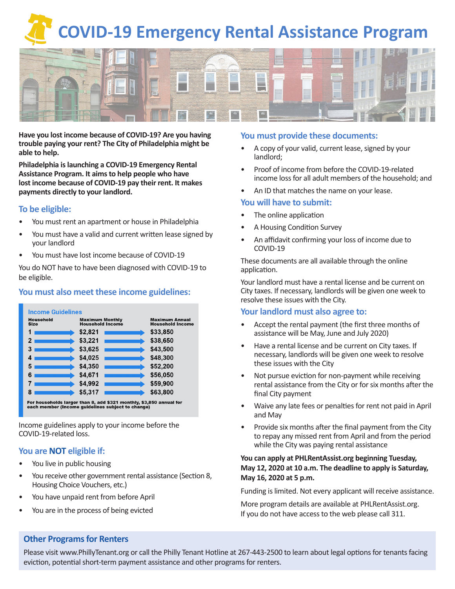# **COVID-19 Emergency Rental Assistance Program**



**Have you lost income because of COVID-19? Are you having trouble paying your rent? The City of Philadelphia might be able to help.**

**Philadelphia is launching a COVID-19 Emergency Rental Assistance Program. It aims to help people who have lost income because of COVID-19 pay their rent. It makes payments directly to your landlord.**

## **To be eligible:**

- You must rent an apartment or house in Philadelphia
- You must have a valid and current written lease signed by your landlord
- You must have lost income because of COVID-19

You do NOT have to have been diagnosed with COVID-19 to be eligible.

# **You must also meet these income guidelines:**



Income guidelines apply to your income before the COVID-19-related loss.

# **You are NOT eligible if:**

- You live in public housing
- You receive other government rental assistance (Section 8, Housing Choice Vouchers, etc.)
- You have unpaid rent from before April
- You are in the process of being evicted

## **You must provide these documents:**

- A copy of your valid, current lease, signed by your landlord;
- Proof of income from before the COVID-19-related income loss for all adult members of the household; and
- An ID that matches the name on your lease.

## **You will have to submit:**

- The online application
- A Housing Condition Survey
- An affidavit confirming your loss of income due to COVID-19

These documents are all available through the online application.

Your landlord must have a rental license and be current on City taxes. If necessary, landlords will be given one week to resolve these issues with the City.

# **Your landlord must also agree to:**

- Accept the rental payment (the first three months of assistance will be May, June and July 2020)
- Have a rental license and be current on City taxes. If necessary, landlords will be given one week to resolve these issues with the City
- Not pursue eviction for non-payment while receiving rental assistance from the City or for six months after the final City payment
- Waive any late fees or penalties for rent not paid in April and May
- Provide six months after the final payment from the City to repay any missed rent from April and from the period while the City was paying rental assistance

## **You can apply at PHLRentAssist.org beginning Tuesday, May 12, 2020 at 10 a.m. The deadline to apply is Saturday, May 16, 2020 at 5 p.m.**

Funding is limited. Not every applicant will receive assistance.

More program details are available at PHLRentAssist.org. If you do not have access to the web please call 311.

# **Other Programs for Renters**

Please visit www.PhillyTenant.org or call the Philly Tenant Hotline at 267-443-2500 to learn about legal options for tenants facing eviction, potential short-term payment assistance and other programs for renters.